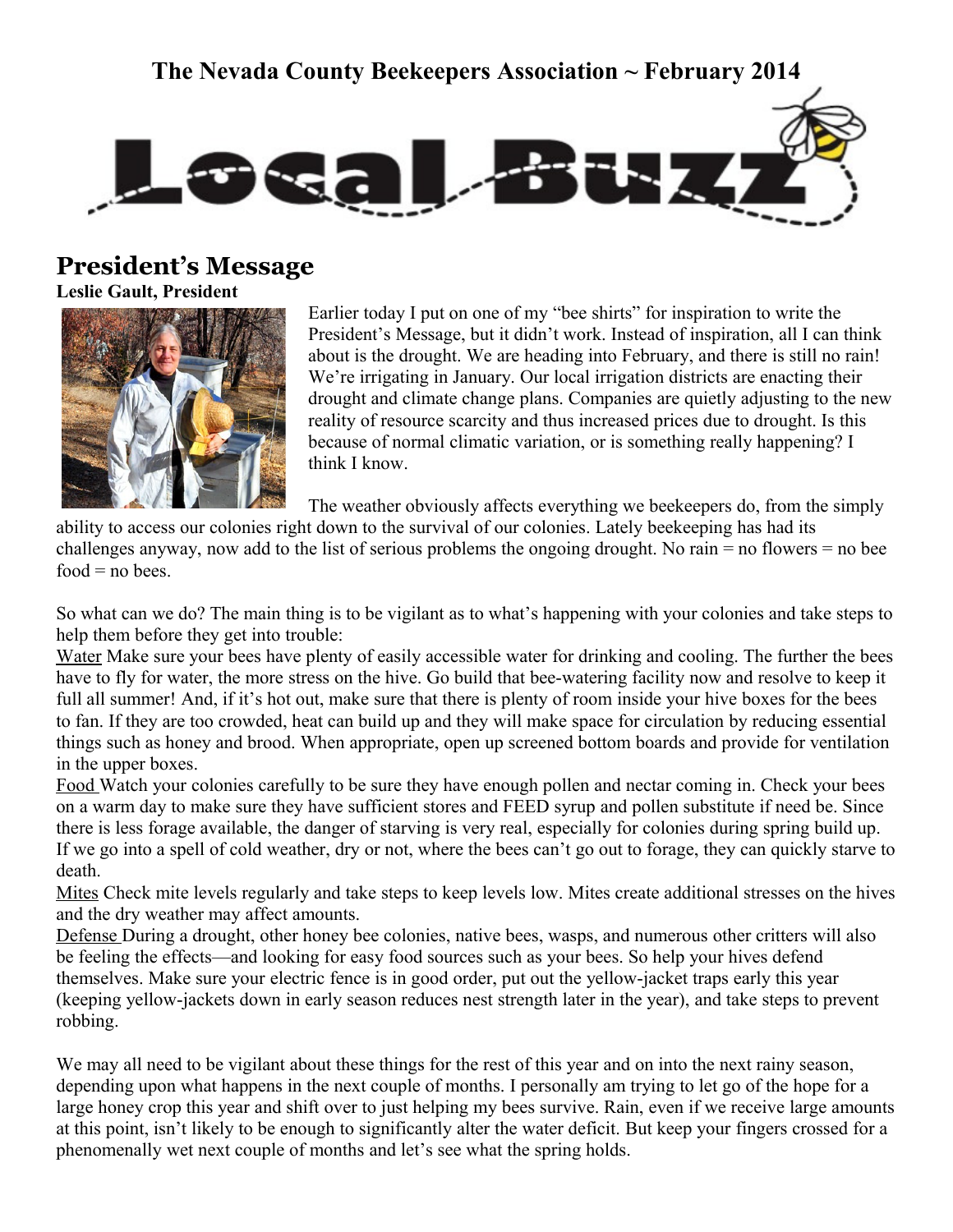### **The Nevada County Beekeepers Association ~ February 2014**



### **President's Message**

**Leslie Gault, President**



Earlier today I put on one of my "bee shirts" for inspiration to write the President's Message, but it didn't work. Instead of inspiration, all I can think about is the drought. We are heading into February, and there is still no rain! We're irrigating in January. Our local irrigation districts are enacting their drought and climate change plans. Companies are quietly adjusting to the new reality of resource scarcity and thus increased prices due to drought. Is this because of normal climatic variation, or is something really happening? I think I know.

The weather obviously affects everything we beekeepers do, from the simply

ability to access our colonies right down to the survival of our colonies. Lately beekeeping has had its challenges anyway, now add to the list of serious problems the ongoing drought. No rain  $=$  no flowers  $=$  no bee  $food = no bees$ .

So what can we do? The main thing is to be vigilant as to what's happening with your colonies and take steps to help them before they get into trouble:

Water Make sure your bees have plenty of easily accessible water for drinking and cooling. The further the bees have to fly for water, the more stress on the hive. Go build that bee-watering facility now and resolve to keep it full all summer! And, if it's hot out, make sure that there is plenty of room inside your hive boxes for the bees to fan. If they are too crowded, heat can build up and they will make space for circulation by reducing essential things such as honey and brood. When appropriate, open up screened bottom boards and provide for ventilation in the upper boxes.

Food Watch your colonies carefully to be sure they have enough pollen and nectar coming in. Check your bees on a warm day to make sure they have sufficient stores and FEED syrup and pollen substitute if need be. Since there is less forage available, the danger of starving is very real, especially for colonies during spring build up. If we go into a spell of cold weather, dry or not, where the bees can't go out to forage, they can quickly starve to death.

Mites Check mite levels regularly and take steps to keep levels low. Mites create additional stresses on the hives and the dry weather may affect amounts.

Defense During a drought, other honey bee colonies, native bees, wasps, and numerous other critters will also be feeling the effects—and looking for easy food sources such as your bees. So help your hives defend themselves. Make sure your electric fence is in good order, put out the yellow-jacket traps early this year (keeping yellow-jackets down in early season reduces nest strength later in the year), and take steps to prevent robbing.

We may all need to be vigilant about these things for the rest of this year and on into the next rainy season, depending upon what happens in the next couple of months. I personally am trying to let go of the hope for a large honey crop this year and shift over to just helping my bees survive. Rain, even if we receive large amounts at this point, isn't likely to be enough to significantly alter the water deficit. But keep your fingers crossed for a phenomenally wet next couple of months and let's see what the spring holds.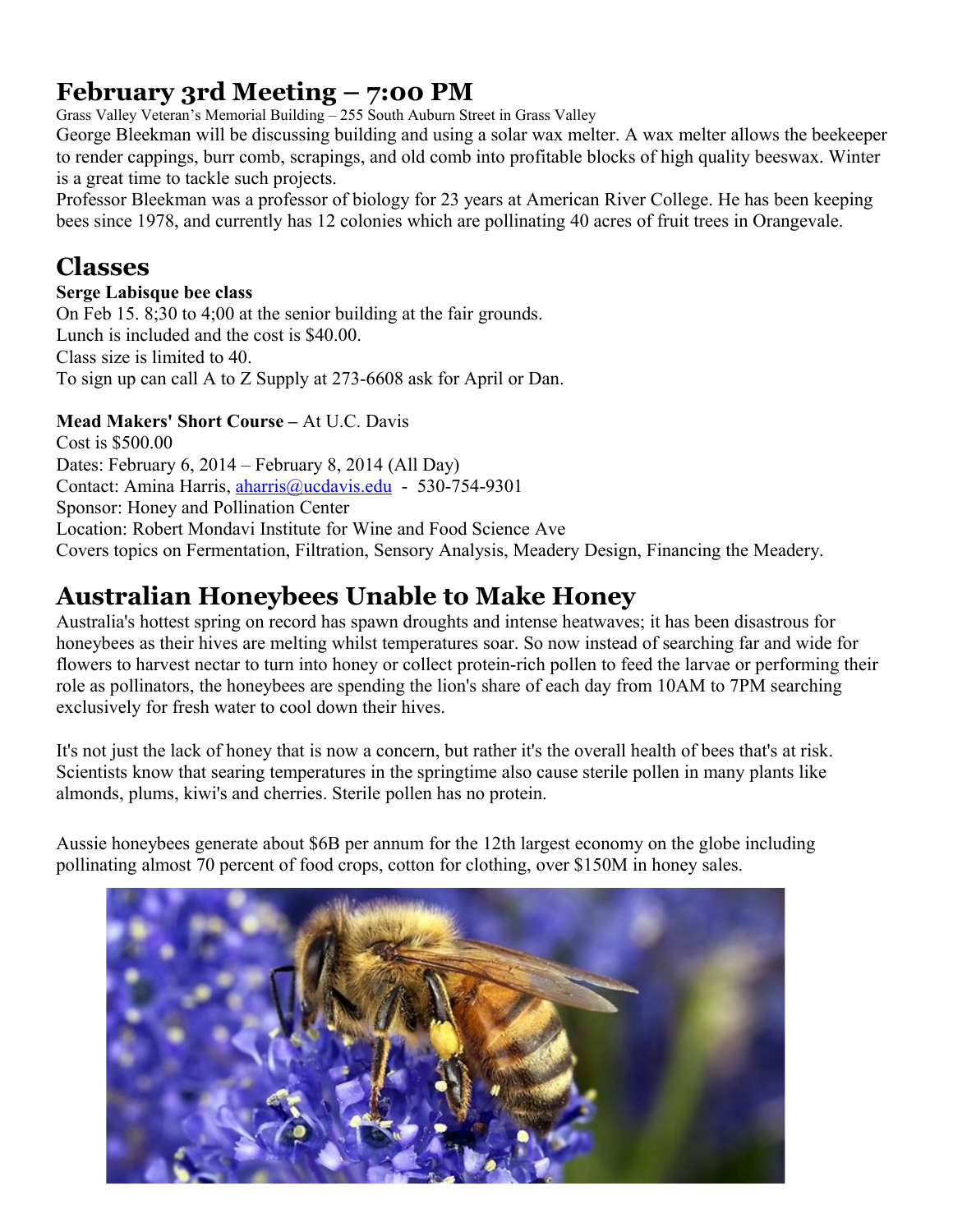# **February 3rd Meeting – 7:00 PM**

Grass Valley Veteran's Memorial Building – 255 South Auburn Street in Grass Valley

George Bleekman will be discussing building and using a solar wax melter. A wax melter allows the beekeeper to render cappings, burr comb, scrapings, and old comb into profitable blocks of high quality beeswax. Winter is a great time to tackle such projects.

Professor Bleekman was a professor of biology for 23 years at American River College. He has been keeping bees since 1978, and currently has 12 colonies which are pollinating 40 acres of fruit trees in Orangevale.

### **Classes**

### **Serge Labisque bee class**

On Feb 15. 8;30 to 4;00 at the senior building at the fair grounds. Lunch is included and the cost is \$40.00. Class size is limited to 40. To sign up can call A to Z Supply at 273-6608 ask for April or Dan.

### **Mead Makers' Short Course –** At U.C. Davis

Cost is \$500.00 Dates: February 6, 2014 – February 8, 2014 (All Day) Contact: Amina Harris, [aharris@ucdavis.edu](mailto:aharris@ucdavis.edu) - 530-754-9301 Sponsor: Honey and Pollination Center Location: Robert Mondavi Institute for Wine and Food Science Ave Covers topics on Fermentation, Filtration, Sensory Analysis, Meadery Design, Financing the Meadery.

## **Australian Honeybees Unable to Make Honey**

Australia's hottest spring on record has spawn droughts and intense heatwaves; it has been disastrous for honeybees as their hives are melting whilst temperatures soar. So now instead of searching far and wide for flowers to harvest nectar to turn into honey or collect protein-rich pollen to feed the larvae or performing their role as pollinators, the honeybees are spending the lion's share of each day from 10AM to 7PM searching exclusively for fresh water to cool down their hives.

It's not just the lack of honey that is now a concern, but rather it's the overall health of bees that's at risk. Scientists know that searing temperatures in the springtime also cause sterile pollen in many plants like almonds, plums, kiwi's and cherries. Sterile pollen has no protein.

Aussie honeybees generate about \$6B per annum for the 12th largest economy on the globe including pollinating almost 70 percent of food crops, cotton for clothing, over \$150M in honey sales.

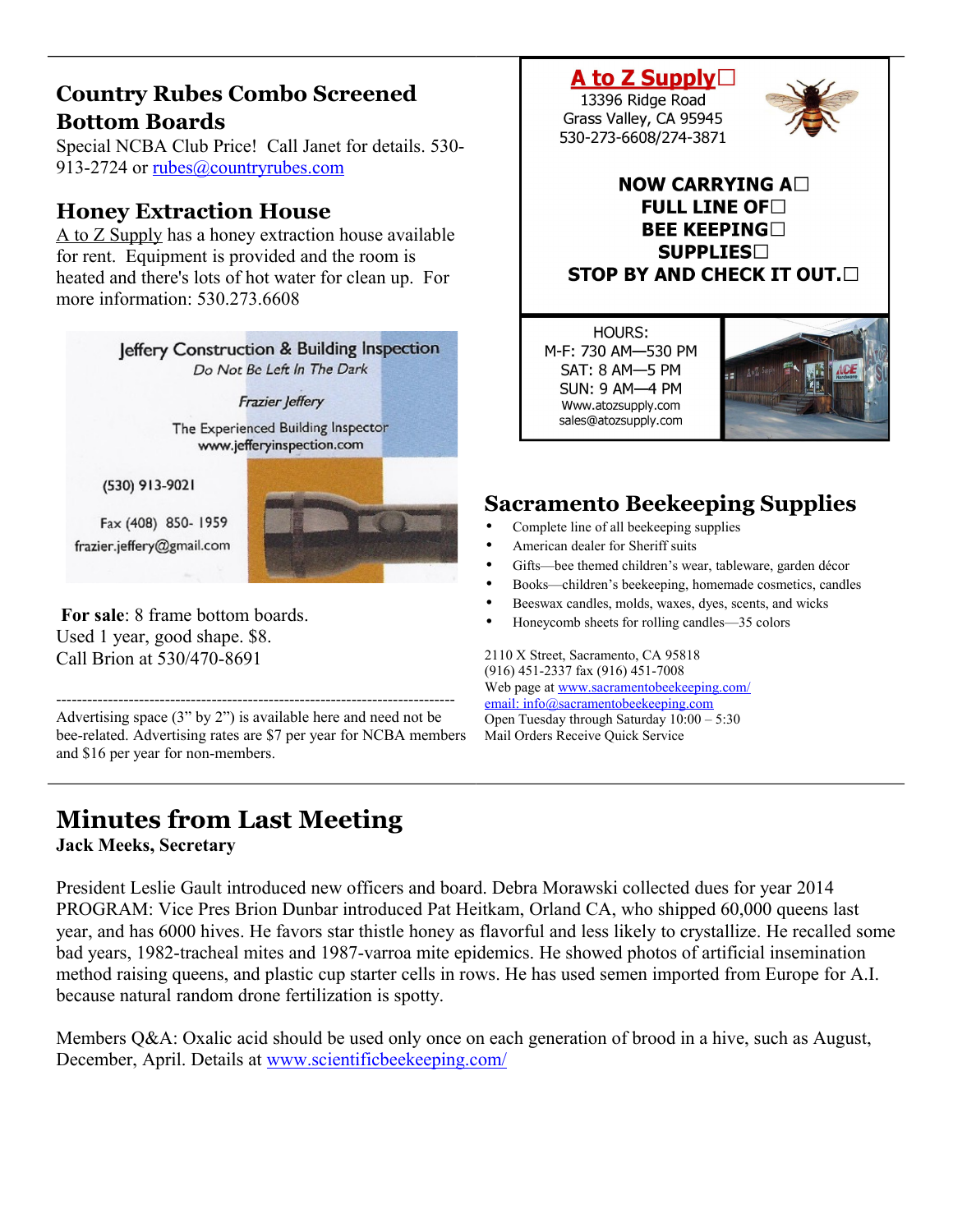### **Country Rubes Combo Screened Bottom Boards**

Special NCBA Club Price! Call Janet for details. 530 913-2724 or [rubes@countryrubes.com](mailto:rubes@countryrubes.com)

### **Honey Extraction House**

A to Z Supply has a honey extraction house available for rent. Equipment is provided and the room is heated and there's lots of hot water for clean up. For more information: 530.273.6608



----------------------------------------------------------------------------- Advertising space (3" by 2") is available here and need not be bee-related. Advertising rates are \$7 per year for NCBA members and \$16 per year for non-members.

# **Minutes from Last Meeting**

**Jack Meeks, Secretary** 

President Leslie Gault introduced new officers and board. Debra Morawski collected dues for year 2014 PROGRAM: Vice Pres Brion Dunbar introduced Pat Heitkam, Orland CA, who shipped 60,000 queens last year, and has 6000 hives. He favors star thistle honey as flavorful and less likely to crystallize. He recalled some bad years, 1982-tracheal mites and 1987-varroa mite epidemics. He showed photos of artificial insemination method raising queens, and plastic cup starter cells in rows. He has used semen imported from Europe for A.I. because natural random drone fertilization is spotty.

Members Q&A: Oxalic acid should be used only once on each generation of brood in a hive, such as August, December, April. Details at [www.scientificbeekeeping.com/](http://www.scientificbeekeeping.com/)

A to Z Supply $\Box$ 13396 Ridge Road Grass Valley, CA 95945 530-273-6608/274-3871



### **NOW CARRYING A** FULL LINE OF  $\Box$ **BEE KEEPING SUPPLIES STOP BY AND CHECK IT OUT.**

HOURS: M-F: 730 AM-530 PM SAT: 8 AM-5 PM **SUN: 9 AM-4 PM** Www.atozsupply.com sales@atozsupply.com



# **Sacramento Beekeeping Supplies**

- Complete line of all beekeeping supplies
- American dealer for Sheriff suits
- Gifts-bee themed children's wear, tableware, garden décor
- Books—children's beekeeping, homemade cosmetics, candles
- Beeswax candles, molds, waxes, dyes, scents, and wicks
- Honeycomb sheets for rolling candles—35 colors

2110 X Street, Sacramento, CA 95818 (916) 451-2337 fax (916) 451-7008 Web page at [www.sacramentobeekeeping.com/](http://www.sacramentobeekeeping.com/) email: inf[o@sacramentobeekeeping.com](mailto:%20info@sacramentobeekeeping.com) Open Tuesday through Saturday 10:00 – 5:30 Mail Orders Receive Quick Service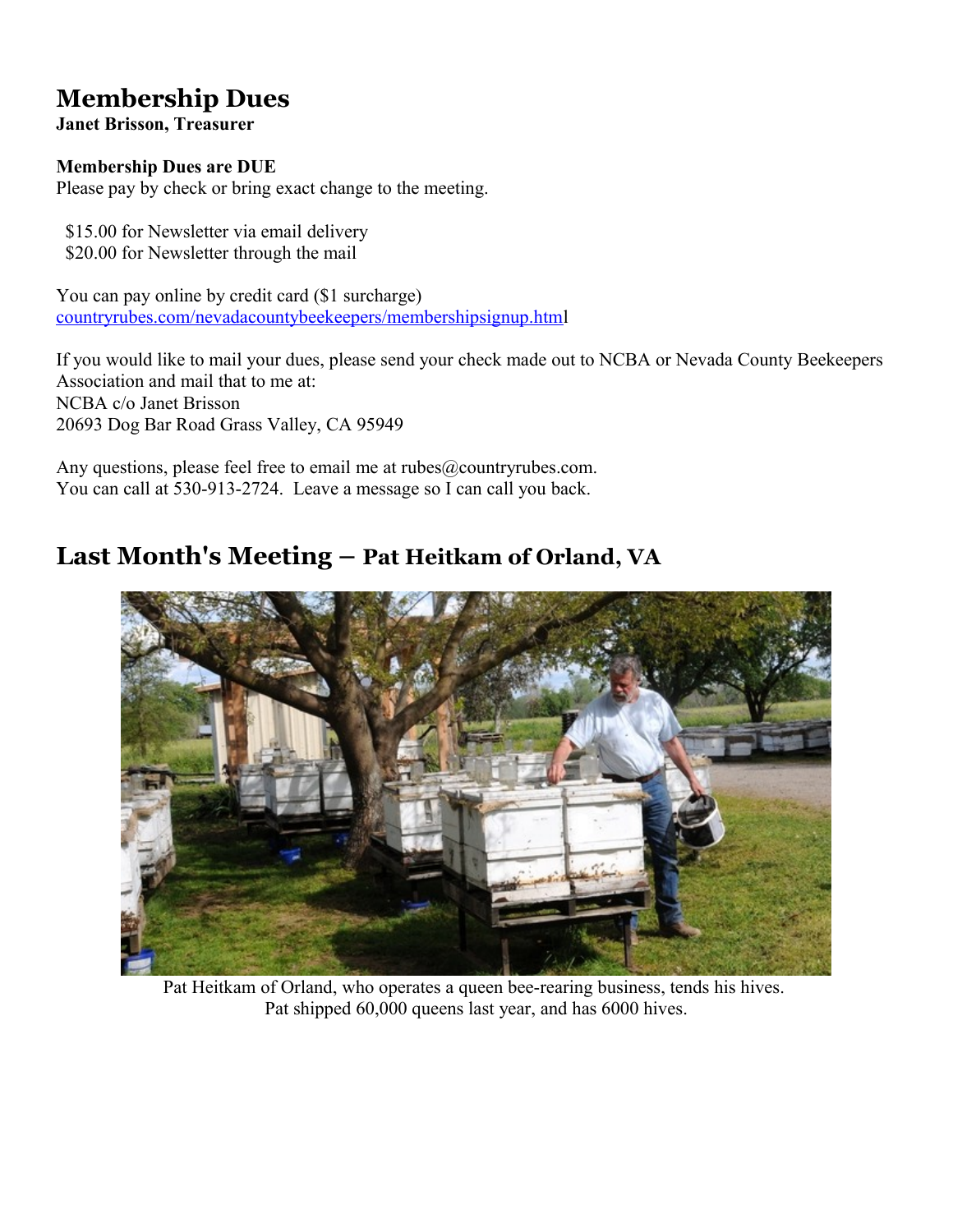# **Membership Dues**

**Janet Brisson, Treasurer** 

### **Membership Dues are DUE**

Please pay by check or bring exact change to the meeting.

 \$15.00 for Newsletter via email delivery \$20.00 for Newsletter through the mail

You can pay online by credit card (\$1 surcharge) [countryrubes.com/nevadacountybeekeepers/membershipsignup.html](http://countryrubes.com/nevadacountybeekeepers/membershipsignup.htm)

If you would like to mail your dues, please send your check made out to NCBA or Nevada County Beekeepers Association and mail that to me at: NCBA c/o Janet Brisson 20693 Dog Bar Road Grass Valley, CA 95949

Any questions, please feel free to email me at rubes@countryrubes.com. You can call at 530-913-2724. Leave a message so I can call you back.

### **Last Month's Meeting – Pat Heitkam of Orland, VA**



Pat Heitkam of Orland, who operates a queen bee-rearing business, tends his hives. Pat shipped 60,000 queens last year, and has 6000 hives.